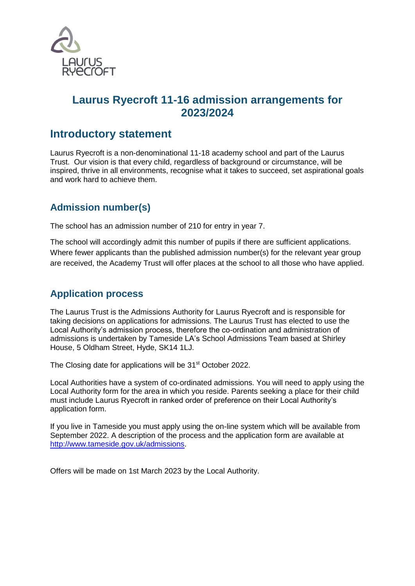

# **Laurus Ryecroft 11-16 admission arrangements for 2023/2024**

## **Introductory statement**

Laurus Ryecroft is a non-denominational 11-18 academy school and part of the Laurus Trust. Our vision is that every child, regardless of background or circumstance, will be inspired, thrive in all environments, recognise what it takes to succeed, set aspirational goals and work hard to achieve them.

## **Admission number(s)**

The school has an admission number of 210 for entry in year 7.

The school will accordingly admit this number of pupils if there are sufficient applications. Where fewer applicants than the published admission number(s) for the relevant year group are received, the Academy Trust will offer places at the school to all those who have applied.

#### **Application process**

The Laurus Trust is the Admissions Authority for Laurus Ryecroft and is responsible for taking decisions on applications for admissions. The Laurus Trust has elected to use the Local Authority's admission process, therefore the co-ordination and administration of admissions is undertaken by Tameside LA's School Admissions Team based at Shirley House, 5 Oldham Street, Hyde, SK14 1LJ.

The Closing date for applications will be 31<sup>st</sup> October 2022.

Local Authorities have a system of co-ordinated admissions. You will need to apply using the Local Authority form for the area in which you reside. Parents seeking a place for their child must include Laurus Ryecroft in ranked order of preference on their Local Authority's application form.

If you live in Tameside you must apply using the on-line system which will be available from September 2022. A description of the process and the application form are available at [http://www.tameside.gov.uk/admissions.](http://www.tameside.gov.uk/admissions)

Offers will be made on 1st March 2023 by the Local Authority.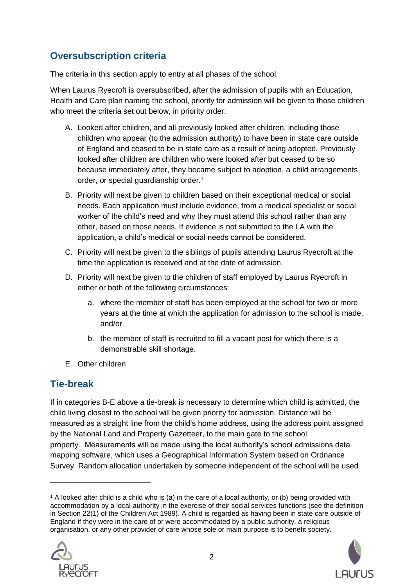# **Oversubscription criteria**

The criteria in this section apply to entry at all phases of the school.

When Laurus Ryecroft is oversubscribed, after the admission of pupils with an Education, Health and Care plan naming the school, priority for admission will be given to those children who meet the criteria set out below, in priority order:

- A. Looked after children, and all previously looked after children, including those children who appear (to the admission authority) to have been in state care outside of England and ceased to be in state care as a result of being adopted. Previously looked after children are children who were looked after but ceased to be so because immediately after, they became subject to adoption, a child arrangements order, or special guardianship order.<sup>1</sup>
- B. Priority will next be given to children based on their exceptional medical or social needs. Each application must include evidence, from a medical specialist or social worker of the child's need and why they must attend this school rather than any other, based on those needs. If evidence is not submitted to the LA with the application, a child's medical or social needs cannot be considered.
- C. Priority will next be given to the siblings of pupils attending Laurus Ryecroft at the time the application is received and at the date of admission.
- D. Priority will next be given to the children of staff employed by Laurus Ryecroft in either or both of the following circumstances:
	- a. where the member of staff has been employed at the school for two or more years at the time at which the application for admission to the school is made, and/or
	- b. the member of staff is recruited to fill a vacant post for which there is a demonstrable skill shortage.
- E. Other children

## **Tie-break**

If in categories B-E above a tie-break is necessary to determine which child is admitted, the child living closest to the school will be given priority for admission. Distance will be measured as a straight line from the child's home address, using the address point assigned by the National Land and Property Gazetteer, to the main gate to the school property. Measurements will be made using the local authority's school admissions data mapping software, which uses a Geographical Information System based on Ordnance Survey. Random allocation undertaken by someone independent of the school will be used

<sup>1</sup> A looked after child is a child who is (a) in the care of a local authority, or (b) being provided with accommodation by a local authority in the exercise of their social services functions (see the definition in Section 22(1) of the Children Act 1989). A child is regarded as having been in state care outside of England if they were in the care of or were accommodated by a public authority, a religious organisation, or any other provider of care whose sole or main purpose is to benefit society.



-

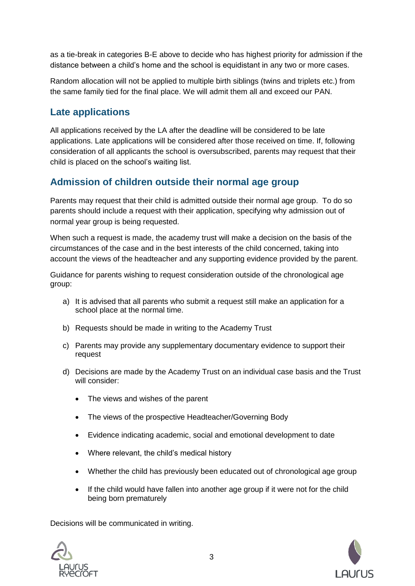as a tie-break in categories B-E above to decide who has highest priority for admission if the distance between a child's home and the school is equidistant in any two or more cases.

Random allocation will not be applied to multiple birth siblings (twins and triplets etc.) from the same family tied for the final place. We will admit them all and exceed our PAN.

## **Late applications**

All applications received by the LA after the deadline will be considered to be late applications. Late applications will be considered after those received on time. If, following consideration of all applicants the school is oversubscribed, parents may request that their child is placed on the school's waiting list.

## **Admission of children outside their normal age group**

Parents may request that their child is admitted outside their normal age group. To do so parents should include a request with their application, specifying why admission out of normal year group is being requested.

When such a request is made, the academy trust will make a decision on the basis of the circumstances of the case and in the best interests of the child concerned, taking into account the views of the headteacher and any supporting evidence provided by the parent.

Guidance for parents wishing to request consideration outside of the chronological age group:

- a) It is advised that all parents who submit a request still make an application for a school place at the normal time.
- b) Requests should be made in writing to the Academy Trust
- c) Parents may provide any supplementary documentary evidence to support their request
- d) Decisions are made by the Academy Trust on an individual case basis and the Trust will consider:
	- The views and wishes of the parent
	- The views of the prospective Headteacher/Governing Body
	- Evidence indicating academic, social and emotional development to date
	- Where relevant, the child's medical history
	- Whether the child has previously been educated out of chronological age group
	- If the child would have fallen into another age group if it were not for the child being born prematurely

Decisions will be communicated in writing.



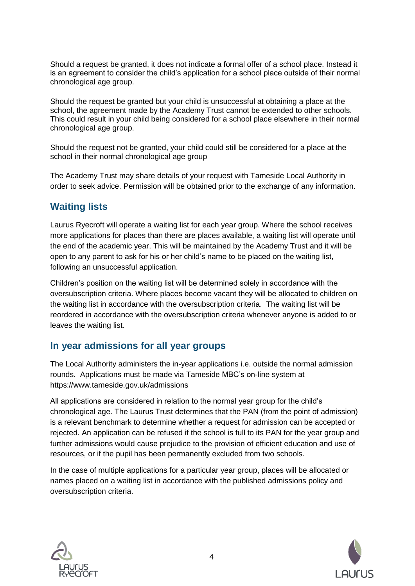Should a request be granted, it does not indicate a formal offer of a school place. Instead it is an agreement to consider the child's application for a school place outside of their normal chronological age group.

Should the request be granted but your child is unsuccessful at obtaining a place at the school, the agreement made by the Academy Trust cannot be extended to other schools. This could result in your child being considered for a school place elsewhere in their normal chronological age group.

Should the request not be granted, your child could still be considered for a place at the school in their normal chronological age group

The Academy Trust may share details of your request with Tameside Local Authority in order to seek advice. Permission will be obtained prior to the exchange of any information.

### **Waiting lists**

Laurus Ryecroft will operate a waiting list for each year group. Where the school receives more applications for places than there are places available, a waiting list will operate until the end of the academic year. This will be maintained by the Academy Trust and it will be open to any parent to ask for his or her child's name to be placed on the waiting list, following an unsuccessful application.

Children's position on the waiting list will be determined solely in accordance with the oversubscription criteria. Where places become vacant they will be allocated to children on the waiting list in accordance with the oversubscription criteria. The waiting list will be reordered in accordance with the oversubscription criteria whenever anyone is added to or leaves the waiting list.

#### **In year admissions for all year groups**

The Local Authority administers the in-year applications i.e. outside the normal admission rounds. Applications must be made via Tameside MBC's on-line system at https://www.tameside.gov.uk/admissions

All applications are considered in relation to the normal year group for the child's chronological age. The Laurus Trust determines that the PAN (from the point of admission) is a relevant benchmark to determine whether a request for admission can be accepted or rejected. An application can be refused if the school is full to its PAN for the year group and further admissions would cause prejudice to the provision of efficient education and use of resources, or if the pupil has been permanently excluded from two schools.

In the case of multiple applications for a particular year group, places will be allocated or names placed on a waiting list in accordance with the published admissions policy and oversubscription criteria.



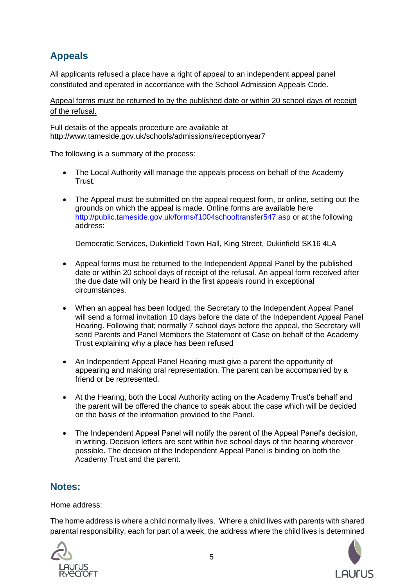# **Appeals**

All applicants refused a place have a right of appeal to an independent appeal panel constituted and operated in accordance with the School Admission Appeals Code.

Appeal forms must be returned to by the published date or within 20 school days of receipt of the refusal.

Full details of the appeals procedure are available at http://www.tameside.gov.uk/schools/admissions/receptionyear7

The following is a summary of the process:

- The Local Authority will manage the appeals process on behalf of the Academy **Trust**
- The Appeal must be submitted on the appeal request form, or online, setting out the grounds on which the appeal is made. Online forms are available here <http://public.tameside.gov.uk/forms/f1004schooltransfer547.asp> or at the following address:

Democratic Services, Dukinfield Town Hall, King Street, Dukinfield SK16 4LA

- Appeal forms must be returned to the Independent Appeal Panel by the published date or within 20 school days of receipt of the refusal. An appeal form received after the due date will only be heard in the first appeals round in exceptional circumstances.
- When an appeal has been lodged, the Secretary to the Independent Appeal Panel will send a formal invitation 10 days before the date of the Independent Appeal Panel Hearing. Following that; normally 7 school days before the appeal, the Secretary will send Parents and Panel Members the Statement of Case on behalf of the Academy Trust explaining why a place has been refused
- An Independent Appeal Panel Hearing must give a parent the opportunity of appearing and making oral representation. The parent can be accompanied by a friend or be represented.
- At the Hearing, both the Local Authority acting on the Academy Trust's behalf and the parent will be offered the chance to speak about the case which will be decided on the basis of the information provided to the Panel.
- The Independent Appeal Panel will notify the parent of the Appeal Panel's decision, in writing. Decision letters are sent within five school days of the hearing wherever possible. The decision of the Independent Appeal Panel is binding on both the Academy Trust and the parent.

#### **Notes:**

Home address:

The home address is where a child normally lives. Where a child lives with parents with shared parental responsibility, each for part of a week, the address where the child lives is determined